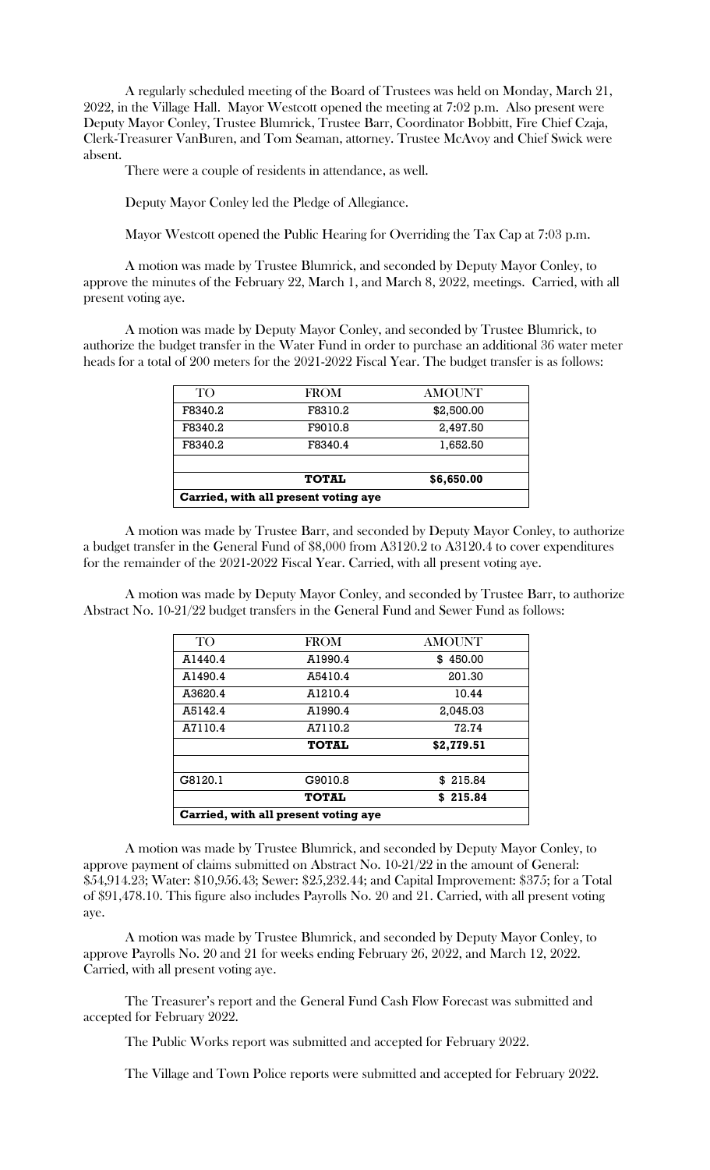A regularly scheduled meeting of the Board of Trustees was held on Monday, March 21, 2022, in the Village Hall. Mayor Westcott opened the meeting at 7:02 p.m. Also present were Deputy Mayor Conley, Trustee Blumrick, Trustee Barr, Coordinator Bobbitt, Fire Chief Czaja, Clerk-Treasurer VanBuren, and Tom Seaman, attorney. Trustee McAvoy and Chief Swick were absent.

There were a couple of residents in attendance, as well.

Deputy Mayor Conley led the Pledge of Allegiance.

Mayor Westcott opened the Public Hearing for Overriding the Tax Cap at 7:03 p.m.

A motion was made by Trustee Blumrick, and seconded by Deputy Mayor Conley, to approve the minutes of the February 22, March 1, and March 8, 2022, meetings. Carried, with all present voting aye.

A motion was made by Deputy Mayor Conley, and seconded by Trustee Blumrick, to authorize the budget transfer in the Water Fund in order to purchase an additional 36 water meter heads for a total of 200 meters for the 2021-2022 Fiscal Year. The budget transfer is as follows:

| TO <sub>1</sub>                      | <b>FROM</b>  | <b>AMOUNT</b> |
|--------------------------------------|--------------|---------------|
| F8340.2                              | F8310.2      | \$2,500.00    |
| F8340.2                              | F9010.8      | 2,497.50      |
| F8340.2                              | F8340.4      | 1,652.50      |
|                                      |              |               |
|                                      | <b>TOTAL</b> | \$6,650.00    |
| Carried, with all present voting aye |              |               |

A motion was made by Trustee Barr, and seconded by Deputy Mayor Conley, to authorize a budget transfer in the General Fund of \$8,000 from A3120.2 to A3120.4 to cover expenditures for the remainder of the 2021-2022 Fiscal Year. Carried, with all present voting aye.

A motion was made by Deputy Mayor Conley, and seconded by Trustee Barr, to authorize Abstract No. 10-21/22 budget transfers in the General Fund and Sewer Fund as follows:

| TO <sub>1</sub>                      | <b>FROM</b>  | AMOUNT     |
|--------------------------------------|--------------|------------|
| A1440.4                              | A1990.4      | \$450.00   |
| A1490.4                              | A5410.4      | 201.30     |
| A3620.4                              | A1210.4      | 10.44      |
| A5142.4                              | A1990.4      | 2,045.03   |
| A7110.4                              | A7110.2      | 72.74      |
|                                      | <b>TOTAL</b> | \$2,779.51 |
|                                      |              |            |
| G8120.1                              | G9010.8      | \$215.84   |
|                                      | <b>TOTAL</b> | \$215.84   |
| Carried, with all present voting aye |              |            |

A motion was made by Trustee Blumrick, and seconded by Deputy Mayor Conley, to approve payment of claims submitted on Abstract No. 10-21/22 in the amount of General: \$54,914.23; Water: \$10,956.43; Sewer: \$25,232.44; and Capital Improvement: \$375; for a Total of \$91,478.10. This figure also includes Payrolls No. 20 and 21. Carried, with all present voting aye.

A motion was made by Trustee Blumrick, and seconded by Deputy Mayor Conley, to approve Payrolls No. 20 and 21 for weeks ending February 26, 2022, and March 12, 2022. Carried, with all present voting aye.

The Treasurer's report and the General Fund Cash Flow Forecast was submitted and accepted for February 2022.

The Public Works report was submitted and accepted for February 2022.

The Village and Town Police reports were submitted and accepted for February 2022.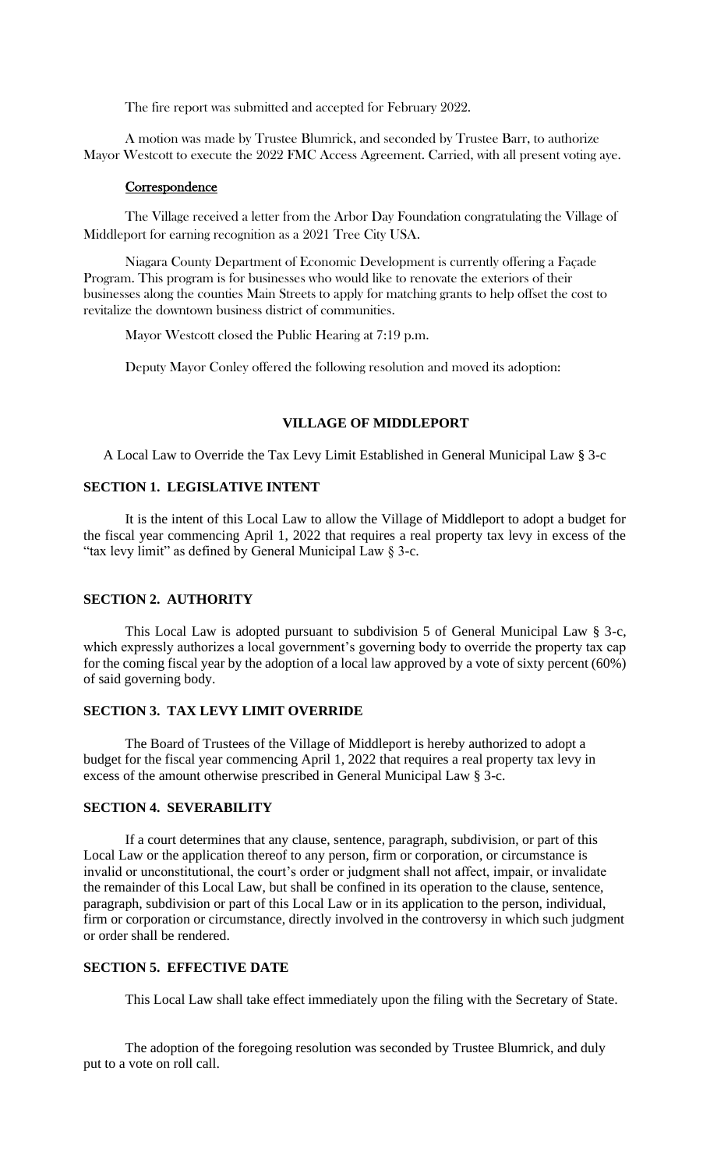The fire report was submitted and accepted for February 2022.

A motion was made by Trustee Blumrick, and seconded by Trustee Barr, to authorize Mayor Westcott to execute the 2022 FMC Access Agreement. Carried, with all present voting aye.

#### **Correspondence**

 The Village received a letter from the Arbor Day Foundation congratulating the Village of Middleport for earning recognition as a 2021 Tree City USA.

Niagara County Department of Economic Development is currently offering a Façade Program. This program is for businesses who would like to renovate the exteriors of their businesses along the counties Main Streets to apply for matching grants to help offset the cost to revitalize the downtown business district of communities.

Mayor Westcott closed the Public Hearing at 7:19 p.m.

Deputy Mayor Conley offered the following resolution and moved its adoption:

## **VILLAGE OF MIDDLEPORT**

A Local Law to Override the Tax Levy Limit Established in General Municipal Law § 3-c

### **SECTION 1. LEGISLATIVE INTENT**

It is the intent of this Local Law to allow the Village of Middleport to adopt a budget for the fiscal year commencing April 1, 2022 that requires a real property tax levy in excess of the "tax levy limit" as defined by General Municipal Law § 3-c.

## **SECTION 2. AUTHORITY**

This Local Law is adopted pursuant to subdivision 5 of General Municipal Law § 3-c, which expressly authorizes a local government's governing body to override the property tax cap for the coming fiscal year by the adoption of a local law approved by a vote of sixty percent (60%) of said governing body.

## **SECTION 3. TAX LEVY LIMIT OVERRIDE**

The Board of Trustees of the Village of Middleport is hereby authorized to adopt a budget for the fiscal year commencing April 1, 2022 that requires a real property tax levy in excess of the amount otherwise prescribed in General Municipal Law § 3-c.

### **SECTION 4. SEVERABILITY**

If a court determines that any clause, sentence, paragraph, subdivision, or part of this Local Law or the application thereof to any person, firm or corporation, or circumstance is invalid or unconstitutional, the court's order or judgment shall not affect, impair, or invalidate the remainder of this Local Law, but shall be confined in its operation to the clause, sentence, paragraph, subdivision or part of this Local Law or in its application to the person, individual, firm or corporation or circumstance, directly involved in the controversy in which such judgment or order shall be rendered.

# **SECTION 5. EFFECTIVE DATE**

This Local Law shall take effect immediately upon the filing with the Secretary of State.

The adoption of the foregoing resolution was seconded by Trustee Blumrick, and duly put to a vote on roll call.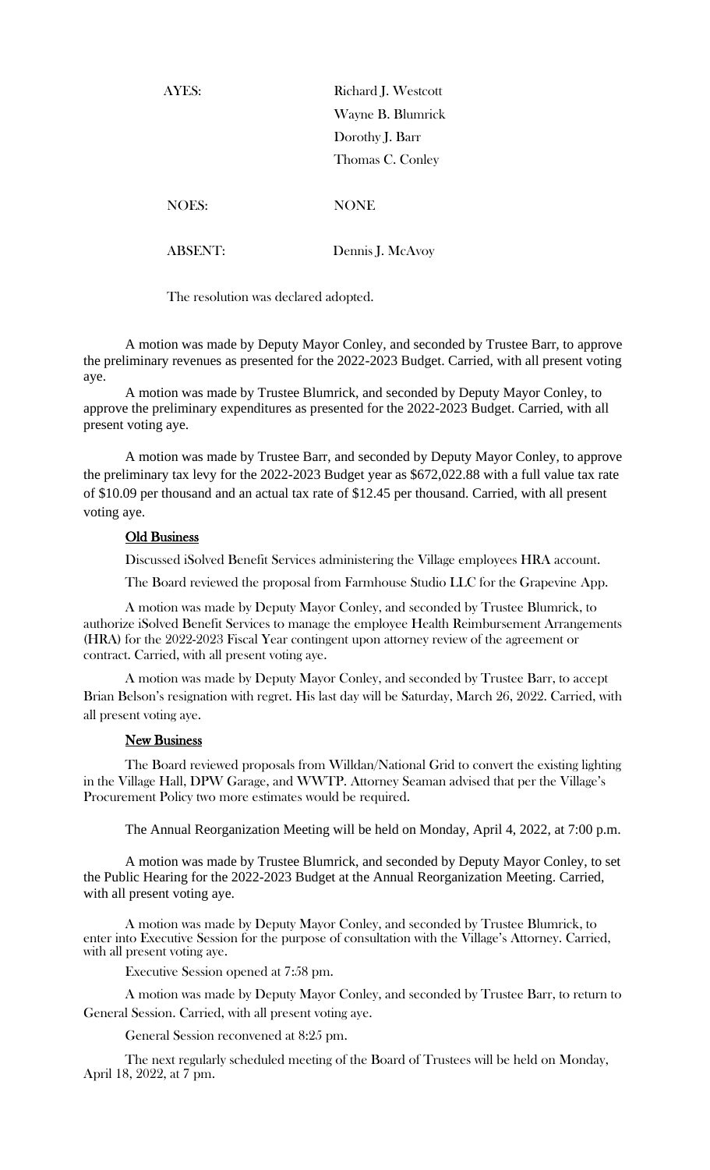| AYES:          | Richard J. Westcott |
|----------------|---------------------|
|                | Wayne B. Blumrick   |
|                | Dorothy J. Barr     |
|                | Thomas C. Conley    |
|                |                     |
| <b>NOES:</b>   | <b>NONE</b>         |
|                |                     |
| <b>ABSENT:</b> | Dennis J. McAvoy    |

The resolution was declared adopted.

A motion was made by Deputy Mayor Conley, and seconded by Trustee Barr, to approve the preliminary revenues as presented for the 2022-2023 Budget. Carried, with all present voting aye.

A motion was made by Trustee Blumrick, and seconded by Deputy Mayor Conley, to approve the preliminary expenditures as presented for the 2022-2023 Budget. Carried, with all present voting aye.

A motion was made by Trustee Barr, and seconded by Deputy Mayor Conley, to approve the preliminary tax levy for the 2022-2023 Budget year as \$672,022.88 with a full value tax rate of \$10.09 per thousand and an actual tax rate of \$12.45 per thousand. Carried, with all present voting aye.

#### Old Business

Discussed iSolved Benefit Services administering the Village employees HRA account.

The Board reviewed the proposal from Farmhouse Studio LLC for the Grapevine App.

A motion was made by Deputy Mayor Conley, and seconded by Trustee Blumrick, to authorize iSolved Benefit Services to manage the employee Health Reimbursement Arrangements (HRA) for the 2022-2023 Fiscal Year contingent upon attorney review of the agreement or contract. Carried, with all present voting aye.

A motion was made by Deputy Mayor Conley, and seconded by Trustee Barr, to accept Brian Belson's resignation with regret. His last day will be Saturday, March 26, 2022. Carried, with all present voting aye.

#### New Business

The Board reviewed proposals from Willdan/National Grid to convert the existing lighting in the Village Hall, DPW Garage, and WWTP. Attorney Seaman advised that per the Village's Procurement Policy two more estimates would be required.

The Annual Reorganization Meeting will be held on Monday, April 4, 2022, at 7:00 p.m.

A motion was made by Trustee Blumrick, and seconded by Deputy Mayor Conley, to set the Public Hearing for the 2022-2023 Budget at the Annual Reorganization Meeting. Carried, with all present voting aye.

A motion was made by Deputy Mayor Conley, and seconded by Trustee Blumrick, to enter into Executive Session for the purpose of consultation with the Village's Attorney. Carried, with all present voting aye.

Executive Session opened at 7:58 pm.

A motion was made by Deputy Mayor Conley, and seconded by Trustee Barr, to return to General Session. Carried, with all present voting aye.

General Session reconvened at 8:25 pm.

The next regularly scheduled meeting of the Board of Trustees will be held on Monday, April 18, 2022, at 7 pm.